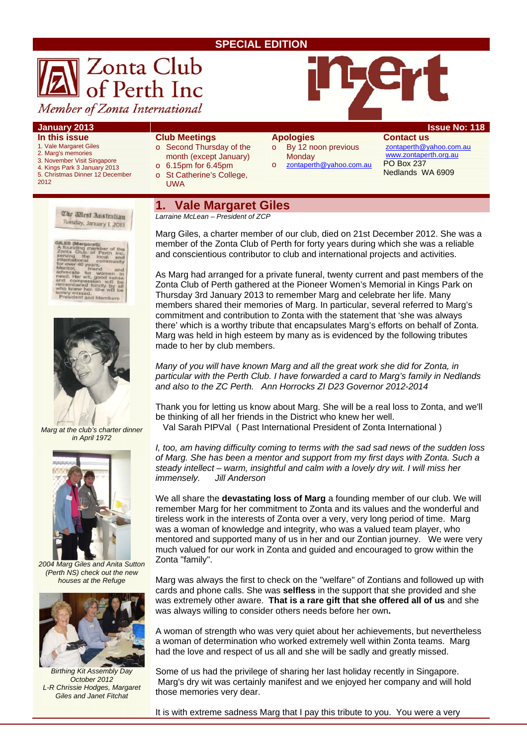### **SPECIAL EDITION**



#### **January 2013 Issue No: 118**

- **In this issue**
- 1. Vale Margaret Giles
- 2. Marg's memories 3. November Visit Singapore
- 4. Kings Park 3 January 2013 5. Christmas Dinner 12 December
- 2012



- o Second Thursday of the month (except January)
- o 6.15pm for 6.45pm o St Catherine's College,
- UWA
- **Apologies**  o By 12 noon previous
- **Monday**
- o zontaperth@yahoo.com.au

**Contact us**  zontaperth@yahoo.com.au www.zontaperth.org.au PO Box 237 Nedlands WA 6909

The Micst Australian Tuesday, January 1, 2013





*Marg at the club's charter dinner in April 1972* 



*2004 Marg Giles and Anita Sutton (Perth NS) check out the new houses at the Refuge* 



*Birthing Kit Assembly Day October 2012 L-R Chrissie Hodges, Margaret Giles and Janet Fitchat* 

### **1. Vale Margaret Giles**

*Larraine McLean – President of ZCP* 

Marg Giles, a charter member of our club, died on 21st December 2012. She was a member of the Zonta Club of Perth for forty years during which she was a reliable and conscientious contributor to club and international projects and activities.

As Marg had arranged for a private funeral, twenty current and past members of the Zonta Club of Perth gathered at the Pioneer Women's Memorial in Kings Park on Thursday 3rd January 2013 to remember Marg and celebrate her life. Many members shared their memories of Marg. In particular, several referred to Marg's commitment and contribution to Zonta with the statement that 'she was always there' which is a worthy tribute that encapsulates Marg's efforts on behalf of Zonta. Marg was held in high esteem by many as is evidenced by the following tributes made to her by club members.

*Many of you will have known Marg and all the great work she did for Zonta, in particular with the Perth Club. I have forwarded a card to Marg's family in Nedlands and also to the ZC Perth. Ann Horrocks ZI D23 Governor 2012-2014* 

Thank you for letting us know about Marg. She will be a real loss to Zonta, and we'll be thinking of all her friends in the District who knew her well.

Val Sarah PIPVal ( Past International President of Zonta International )

*I, too, am having difficulty coming to terms with the sad sad news of the sudden loss of Marg. She has been a mentor and support from my first days with Zonta. Such a steady intellect – warm, insightful and calm with a lovely dry wit. I will miss her immensely. Jill Anderson* 

We all share the **devastating loss of Marg** a founding member of our club. We will remember Marg for her commitment to Zonta and its values and the wonderful and tireless work in the interests of Zonta over a very, very long period of time. Marg was a woman of knowledge and integrity, who was a valued team player, who mentored and supported many of us in her and our Zontian journey. We were very much valued for our work in Zonta and guided and encouraged to grow within the Zonta "family".

Marg was always the first to check on the "welfare" of Zontians and followed up with cards and phone calls. She was **selfless** in the support that she provided and she was extremely other aware. **That is a rare gift that she offered all of us** and she was always willing to consider others needs before her own**.** 

A woman of strength who was very quiet about her achievements, but nevertheless a woman of determination who worked extremely well within Zonta teams. Marg had the love and respect of us all and she will be sadly and greatly missed.

Some of us had the privilege of sharing her last holiday recently in Singapore. Marg's dry wit was certainly manifest and we enjoyed her company and will hold those memories very dear.

It is with extreme sadness Marg that I pay this tribute to you. You were a very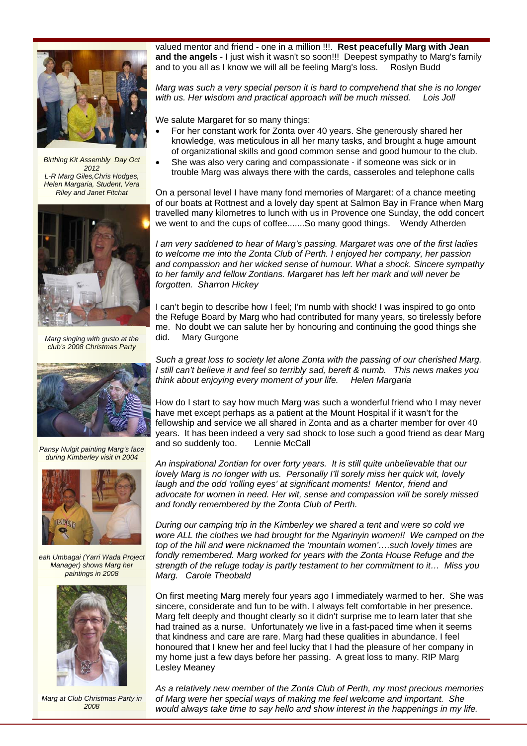

*Birthing Kit Assembly Day Oct 2012 L-R Marg Giles,Chris Hodges, Helen Margaria, Student, Vera Riley and Janet Fitchat* 



*Marg singing with gusto at the club's 2008 Christmas Party* 



*Pansy Nulgit painting Marg's face during Kimberley visit in 2004* 



*eah Umbagai (Yarri Wada Project Manager) shows Marg her paintings in 2008* 



*Marg at Club Christmas Party in 2008* 

valued mentor and friend - one in a million !!!. **Rest peacefully Marg with Jean and the angels** - I just wish it wasn't so soon!!! Deepest sympathy to Marg's family and to you all as I know we will all be feeling Marg's loss. Roslyn Budd

*Marg was such a very special person it is hard to comprehend that she is no longer with us. Her wisdom and practical approach will be much missed. Lois Joll* 

We salute Margaret for so many things:

- For her constant work for Zonta over 40 years. She generously shared her knowledge, was meticulous in all her many tasks, and brought a huge amount of organizational skills and good common sense and good humour to the club.
- She was also very caring and compassionate if someone was sick or in trouble Marg was always there with the cards, casseroles and telephone calls

On a personal level I have many fond memories of Margaret: of a chance meeting of our boats at Rottnest and a lovely day spent at Salmon Bay in France when Marg travelled many kilometres to lunch with us in Provence one Sunday, the odd concert we went to and the cups of coffee.......So many good things. Wendy Atherden

*I am very saddened to hear of Marg's passing. Margaret was one of the first ladies to welcome me into the Zonta Club of Perth. I enjoyed her company, her passion and compassion and her wicked sense of humour. What a shock. Sincere sympathy to her family and fellow Zontians. Margaret has left her mark and will never be forgotten. Sharron Hickey* 

I can't begin to describe how I feel; I'm numb with shock! I was inspired to go onto the Refuge Board by Marg who had contributed for many years, so tirelessly before me. No doubt we can salute her by honouring and continuing the good things she did. Mary Gurgone

*Such a great loss to society let alone Zonta with the passing of our cherished Marg. I still can't believe it and feel so terribly sad, bereft & numb. This news makes you think about enjoying every moment of your life. Helen Margaria* 

How do I start to say how much Marg was such a wonderful friend who I may never have met except perhaps as a patient at the Mount Hospital if it wasn't for the fellowship and service we all shared in Zonta and as a charter member for over 40 years. It has been indeed a very sad shock to lose such a good friend as dear Marg and so suddenly too. Lennie McCall

*An inspirational Zontian for over forty years. It is still quite unbelievable that our lovely Marg is no longer with us. Personally I'll sorely miss her quick wit, lovely laugh and the odd 'rolling eyes' at significant moments! Mentor, friend and advocate for women in need. Her wit, sense and compassion will be sorely missed and fondly remembered by the Zonta Club of Perth.* 

*During our camping trip in the Kimberley we shared a tent and were so cold we wore ALL the clothes we had brought for the Ngarinyin women!! We camped on the top of the hill and were nicknamed the 'mountain women'….such lovely times are fondly remembered. Marg worked for years with the Zonta House Refuge and the strength of the refuge today is partly testament to her commitment to it… Miss you Marg. Carole Theobald* 

On first meeting Marg merely four years ago I immediately warmed to her. She was sincere, considerate and fun to be with. I always felt comfortable in her presence. Marg felt deeply and thought clearly so it didn't surprise me to learn later that she had trained as a nurse. Unfortunately we live in a fast-paced time when it seems that kindness and care are rare. Marg had these qualities in abundance. I feel honoured that I knew her and feel lucky that I had the pleasure of her company in my home just a few days before her passing. A great loss to many. RIP Marg Lesley Meaney

*As a relatively new member of the Zonta Club of Perth, my most precious memories of Marg were her special ways of making me feel welcome and important. She would always take time to say hello and show interest in the happenings in my life.*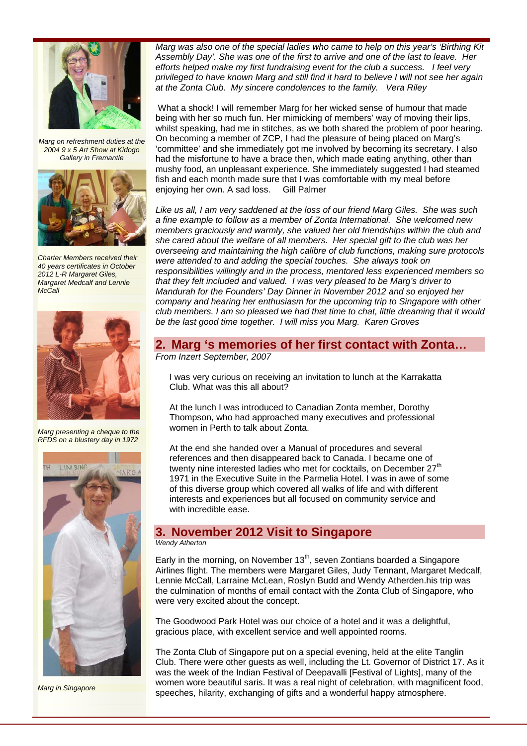

*Marg on refreshment duties at the 2004 9 x 5 Art Show at Kidogo Gallery in Fremantle* 



*Charter Members received their 40 years certificates in October 2012 L-R Margaret Giles, Margaret Medcalf and Lennie McCall* 



*Marg presenting a cheque to the RFDS on a blustery day in 1972* 



*Marg in Singapore* 

*Marg was also one of the special ladies who came to help on this year's 'Birthing Kit Assembly Day'. She was one of the first to arrive and one of the last to leave. Her efforts helped make my first fundraising event for the club a success. I feel very privileged to have known Marg and still find it hard to believe I will not see her again at the Zonta Club. My sincere condolences to the family. Vera Riley* 

What a shock! I will remember Marg for her wicked sense of humour that made being with her so much fun. Her mimicking of members' way of moving their lips, whilst speaking, had me in stitches, as we both shared the problem of poor hearing. On becoming a member of ZCP, I had the pleasure of being placed on Marg's 'committee' and she immediately got me involved by becoming its secretary. I also had the misfortune to have a brace then, which made eating anything, other than mushy food, an unpleasant experience. She immediately suggested I had steamed fish and each month made sure that I was comfortable with my meal before enjoying her own. A sad loss. Gill Palmer

*Like us all, I am very saddened at the loss of our friend Marg Giles. She was such a fine example to follow as a member of Zonta International. She welcomed new members graciously and warmly, she valued her old friendships within the club and she cared about the welfare of all members. Her special gift to the club was her overseeing and maintaining the high calibre of club functions, making sure protocols were attended to and adding the special touches. She always took on responsibilities willingly and in the process, mentored less experienced members so that they felt included and valued. I was very pleased to be Marg's driver to Mandurah for the Founders' Day Dinner in November 2012 and so enjoyed her company and hearing her enthusiasm for the upcoming trip to Singapore with other club members. I am so pleased we had that time to chat, little dreaming that it would be the last good time together. I will miss you Marg. Karen Groves*

# **2. Marg 's memories of her first contact with Zonta…**

*From Inzert September, 2007* 

I was very curious on receiving an invitation to lunch at the Karrakatta Club. What was this all about?

At the lunch I was introduced to Canadian Zonta member, Dorothy Thompson, who had approached many executives and professional women in Perth to talk about Zonta.

At the end she handed over a Manual of procedures and several references and then disappeared back to Canada. I became one of twenty nine interested ladies who met for cocktails, on December 27<sup>th</sup> 1971 in the Executive Suite in the Parmelia Hotel. I was in awe of some of this diverse group which covered all walks of life and with different interests and experiences but all focused on community service and with incredible ease.

## **3. November 2012 Visit to Singapore**

*Wendy Atherton* 

Early in the morning, on November  $13<sup>th</sup>$ , seven Zontians boarded a Singapore Airlines flight. The members were Margaret Giles, Judy Tennant, Margaret Medcalf, Lennie McCall, Larraine McLean, Roslyn Budd and Wendy Atherden.his trip was the culmination of months of email contact with the Zonta Club of Singapore, who were very excited about the concept.

The Goodwood Park Hotel was our choice of a hotel and it was a delightful, gracious place, with excellent service and well appointed rooms.

The Zonta Club of Singapore put on a special evening, held at the elite Tanglin Club. There were other guests as well, including the Lt. Governor of District 17. As it was the week of the Indian Festival of Deepavalli [Festival of Lights], many of the women wore beautiful saris. It was a real night of celebration, with magnificent food, speeches, hilarity, exchanging of gifts and a wonderful happy atmosphere.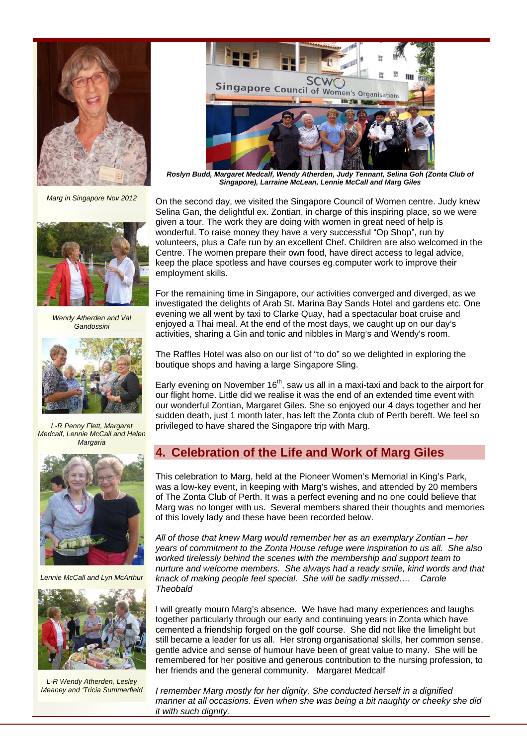

*Marg in Singapore Nov 2012* 



*Wendy Atherden and Val Gandossini* 



*L-R Penny Flett, Margaret Medcalf, Lennie McCall and Helen Margaria* 



*Lennie McCall and Lyn McArthur* 



*L-R Wendy Atherden, Lesley Meaney and 'Tricia Summerfield* 



*Roslyn Budd, Margaret Medcalf, Wendy Atherden, Judy Tennant, Selina Goh (Zonta Club of Singapore), Larraine McLean, Lennie McCall and Marg Giles*

On the second day, we visited the Singapore Council of Women centre. Judy knew Selina Gan, the delightful ex. Zontian, in charge of this inspiring place, so we were given a tour. The work they are doing with women in great need of help is wonderful. To raise money they have a very successful "Op Shop", run by volunteers, plus a Cafe run by an excellent Chef. Children are also welcomed in the Centre. The women prepare their own food, have direct access to legal advice, keep the place spotless and have courses eg.computer work to improve their employment skills.

For the remaining time in Singapore, our activities converged and diverged, as we investigated the delights of Arab St. Marina Bay Sands Hotel and gardens etc. One evening we all went by taxi to Clarke Quay, had a spectacular boat cruise and enjoyed a Thai meal. At the end of the most days, we caught up on our day's activities, sharing a Gin and tonic and nibbles in Marg's and Wendy's room.

The Raffles Hotel was also on our list of "to do" so we delighted in exploring the boutique shops and having a large Singapore Sling.

Early evening on November  $16<sup>th</sup>$ , saw us all in a maxi-taxi and back to the airport for our flight home. Little did we realise it was the end of an extended time event with our wonderful Zontian, Margaret Giles. She so enjoyed our 4 days together and her sudden death, just 1 month later, has left the Zonta club of Perth bereft. We feel so privileged to have shared the Singapore trip with Marg.

### **4. Celebration of the Life and Work of Marg Giles**

This celebration to Marg, held at the Pioneer Women's Memorial in King's Park, was a low-key event, in keeping with Marg's wishes, and attended by 20 members of The Zonta Club of Perth. It was a perfect evening and no one could believe that Marg was no longer with us. Several members shared their thoughts and memories of this lovely lady and these have been recorded below.

*All of those that knew Marg would remember her as an exemplary Zontian – her years of commitment to the Zonta House refuge were inspiration to us all. She also worked tirelessly behind the scenes with the membership and support team to nurture and welcome members. She always had a ready smile, kind words and that knack of making people feel special. She will be sadly missed…. Carole Theobald* 

I will greatly mourn Marg's absence. We have had many experiences and laughs together particularly through our early and continuing years in Zonta which have cemented a friendship forged on the golf course. She did not like the limelight but still became a leader for us all. Her strong organisational skills, her common sense, gentle advice and sense of humour have been of great value to many. She will be remembered for her positive and generous contribution to the nursing profession, to her friends and the general community. Margaret Medcalf

*I remember Marg mostly for her dignity. She conducted herself in a dignified manner at all occasions. Even when she was being a bit naughty or cheeky she did it with such dignity.*